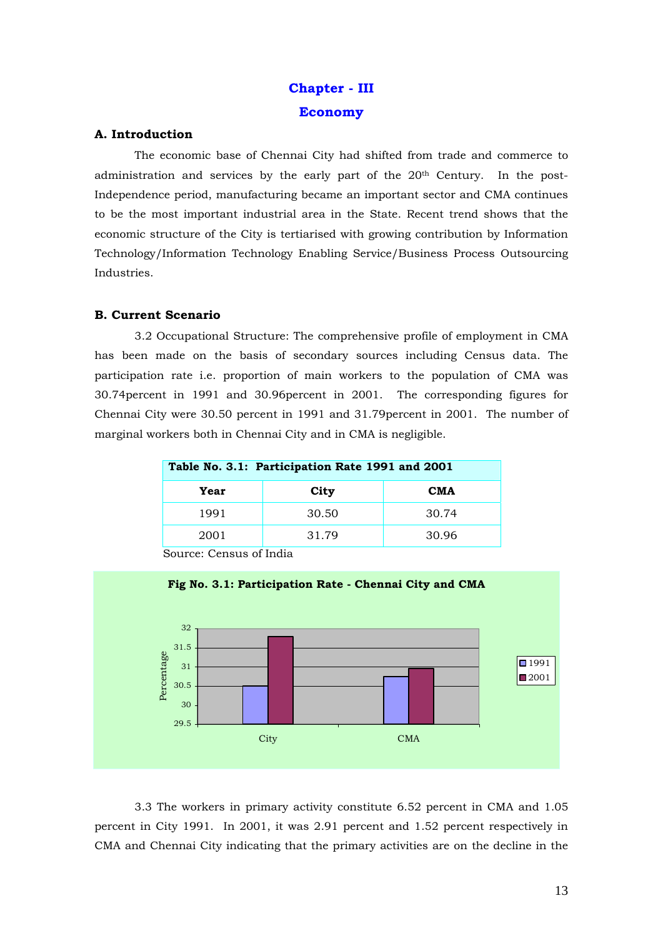# **Chapter - III Economy**

# **A. Introduction**

The economic base of Chennai City had shifted from trade and commerce to administration and services by the early part of the  $20<sup>th</sup>$  Century. In the post-Independence period, manufacturing became an important sector and CMA continues to be the most important industrial area in the State. Recent trend shows that the economic structure of the City is tertiarised with growing contribution by Information Technology/Information Technology Enabling Service/Business Process Outsourcing Industries.

# **B. Current Scenario**

3.2 Occupational Structure: The comprehensive profile of employment in CMA has been made on the basis of secondary sources including Census data. The participation rate i.e. proportion of main workers to the population of CMA was 30.74percent in 1991 and 30.96percent in 2001. The corresponding figures for Chennai City were 30.50 percent in 1991 and 31.79percent in 2001. The number of marginal workers both in Chennai City and in CMA is negligible.

| Table No. 3.1: Participation Rate 1991 and 2001 |       |            |  |  |  |
|-------------------------------------------------|-------|------------|--|--|--|
| Year                                            | City  | <b>CMA</b> |  |  |  |
| 1991                                            | 30.50 | 30.74      |  |  |  |
| 2001                                            | 31.79 | 30.96      |  |  |  |
|                                                 |       |            |  |  |  |



Source: Census of India

3.3 The workers in primary activity constitute 6.52 percent in CMA and 1.05 percent in City 1991. In 2001, it was 2.91 percent and 1.52 percent respectively in CMA and Chennai City indicating that the primary activities are on the decline in the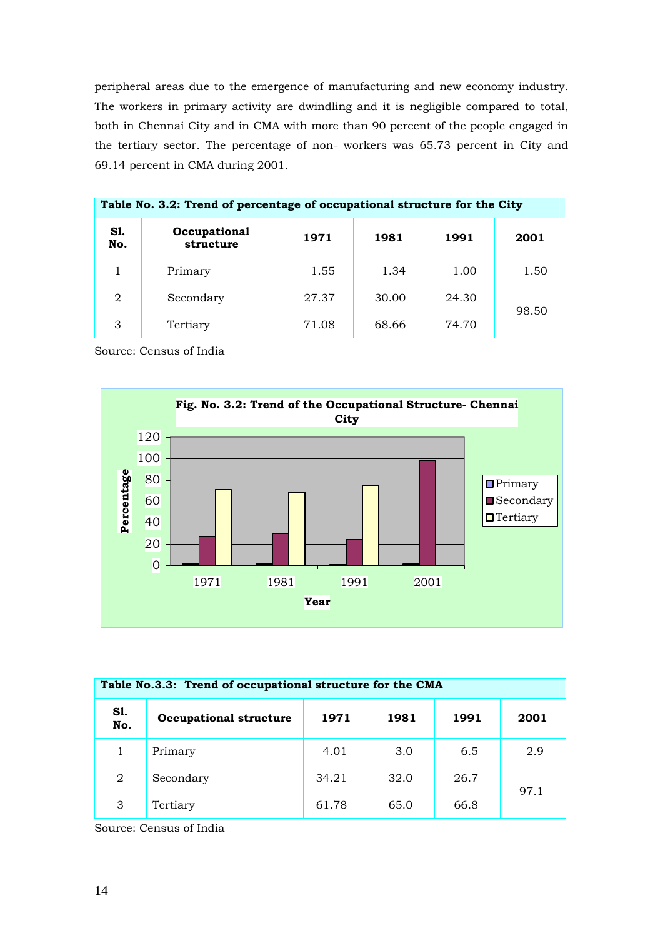peripheral areas due to the emergence of manufacturing and new economy industry. The workers in primary activity are dwindling and it is negligible compared to total, both in Chennai City and in CMA with more than 90 percent of the people engaged in the tertiary sector. The percentage of non- workers was 65.73 percent in City and 69.14 percent in CMA during 2001.

| Table No. 3.2: Trend of percentage of occupational structure for the City |                           |       |       |       |       |  |
|---------------------------------------------------------------------------|---------------------------|-------|-------|-------|-------|--|
| <b>S1.</b><br>No.                                                         | Occupational<br>structure | 1971  | 1981  | 1991  | 2001  |  |
|                                                                           | Primary                   | 1.55  | 1.34  | 1.00  | 1.50  |  |
| $\mathfrak{D}$                                                            | Secondary                 | 27.37 | 30.00 | 24.30 |       |  |
| 3                                                                         | Tertiary                  | 71.08 | 68.66 | 74.70 | 98.50 |  |

Source: Census of India



| Table No.3.3: Trend of occupational structure for the CMA |                               |       |      |      |      |  |  |
|-----------------------------------------------------------|-------------------------------|-------|------|------|------|--|--|
| S1.<br>No.                                                | <b>Occupational structure</b> | 1971  | 1981 | 1991 | 2001 |  |  |
|                                                           | Primary                       | 4.01  | 3.0  | 6.5  | 2.9  |  |  |
| 2                                                         | Secondary                     | 34.21 | 32.0 | 26.7 | 97.1 |  |  |
| 3                                                         | Tertiary                      | 61.78 | 65.0 | 66.8 |      |  |  |

Source: Census of India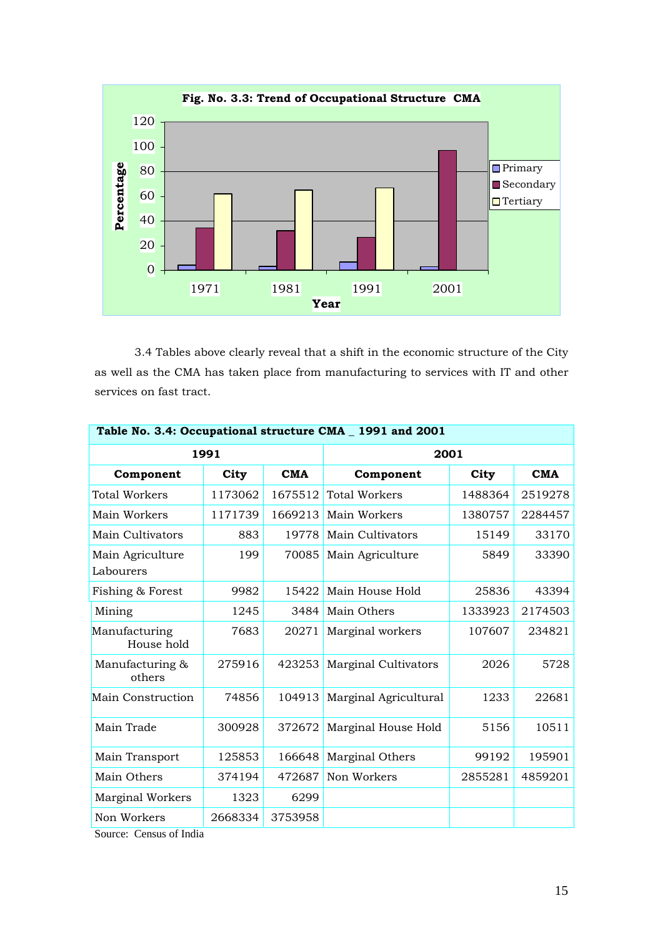

3.4 Tables above clearly reveal that a shift in the economic structure of the City as well as the CMA has taken place from manufacturing to services with IT and other services on fast tract.

| Table No. 3.4: Occupational structure CMA _ 1991 and 2001 |         |            |                             |         |            |  |
|-----------------------------------------------------------|---------|------------|-----------------------------|---------|------------|--|
| 1991                                                      |         |            | 2001                        |         |            |  |
| Component                                                 | City    | <b>CMA</b> | Component                   | City    | <b>CMA</b> |  |
| <b>Total Workers</b>                                      | 1173062 | 1675512    | <b>Total Workers</b>        | 1488364 | 2519278    |  |
| Main Workers                                              | 1171739 | 1669213    | Main Workers                | 1380757 | 2284457    |  |
| Main Cultivators                                          | 883     | 19778      | Main Cultivators            | 15149   | 33170      |  |
| Main Agriculture<br>Labourers                             | 199     | 70085      | Main Agriculture            | 5849    | 33390      |  |
| Fishing & Forest                                          | 9982    | 15422      | Main House Hold             | 25836   | 43394      |  |
| Mining                                                    | 1245    | 3484       | Main Others                 | 1333923 | 2174503    |  |
| Manufacturing<br>House hold                               | 7683    | 20271      | Marginal workers            | 107607  | 234821     |  |
| Manufacturing &<br>others                                 | 275916  | 423253     | <b>Marginal Cultivators</b> | 2026    | 5728       |  |
| Main Construction                                         | 74856   | 104913     | Marginal Agricultural       | 1233    | 22681      |  |
| Main Trade                                                | 300928  | 372672     | Marginal House Hold         | 5156    | 10511      |  |
| Main Transport                                            | 125853  | 166648     | Marginal Others             | 99192   | 195901     |  |
| Main Others                                               | 374194  | 472687     | Non Workers                 | 2855281 | 4859201    |  |
| <b>Marginal Workers</b>                                   | 1323    | 6299       |                             |         |            |  |
| Non Workers                                               | 2668334 | 3753958    |                             |         |            |  |

Source: Census of India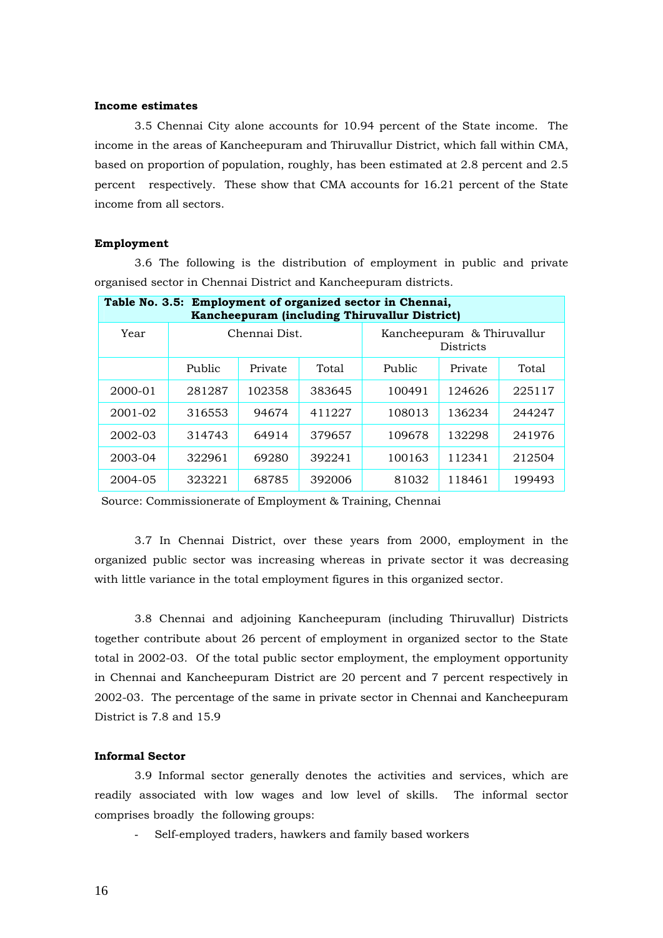#### **Income estimates**

3.5 Chennai City alone accounts for 10.94 percent of the State income. The income in the areas of Kancheepuram and Thiruvallur District, which fall within CMA, based on proportion of population, roughly, has been estimated at 2.8 percent and 2.5 percent respectively. These show that CMA accounts for 16.21 percent of the State income from all sectors.

#### **Employment**

3.6 The following is the distribution of employment in public and private organised sector in Chennai District and Kancheepuram districts.

| Table No. 3.5: Employment of organized sector in Chennai,<br>Kancheepuram (including Thiruvallur District) |        |               |        |                                                |         |        |  |
|------------------------------------------------------------------------------------------------------------|--------|---------------|--------|------------------------------------------------|---------|--------|--|
| Year                                                                                                       |        | Chennai Dist. |        | Kancheepuram & Thiruvallur<br><b>Districts</b> |         |        |  |
|                                                                                                            | Public | Private       | Total  | Public                                         | Private | Total  |  |
| 2000-01                                                                                                    | 281287 | 102358        | 383645 | 100491                                         | 124626  | 225117 |  |
| 2001-02                                                                                                    | 316553 | 94674         | 411227 | 108013                                         | 136234  | 244247 |  |
| 2002-03                                                                                                    | 314743 | 64914         | 379657 | 109678                                         | 132298  | 241976 |  |
| 2003-04                                                                                                    | 322961 | 69280         | 392241 | 100163                                         | 112341  | 212504 |  |
| 2004-05                                                                                                    | 323221 | 68785         | 392006 | 81032                                          | 118461  | 199493 |  |

Source: Commissionerate of Employment & Training, Chennai

3.7 In Chennai District, over these years from 2000, employment in the organized public sector was increasing whereas in private sector it was decreasing with little variance in the total employment figures in this organized sector.

3.8 Chennai and adjoining Kancheepuram (including Thiruvallur) Districts together contribute about 26 percent of employment in organized sector to the State total in 2002-03. Of the total public sector employment, the employment opportunity in Chennai and Kancheepuram District are 20 percent and 7 percent respectively in 2002-03. The percentage of the same in private sector in Chennai and Kancheepuram District is 7.8 and 15.9

# **Informal Sector**

3.9 Informal sector generally denotes the activities and services, which are readily associated with low wages and low level of skills. The informal sector comprises broadly the following groups:

- Self-employed traders, hawkers and family based workers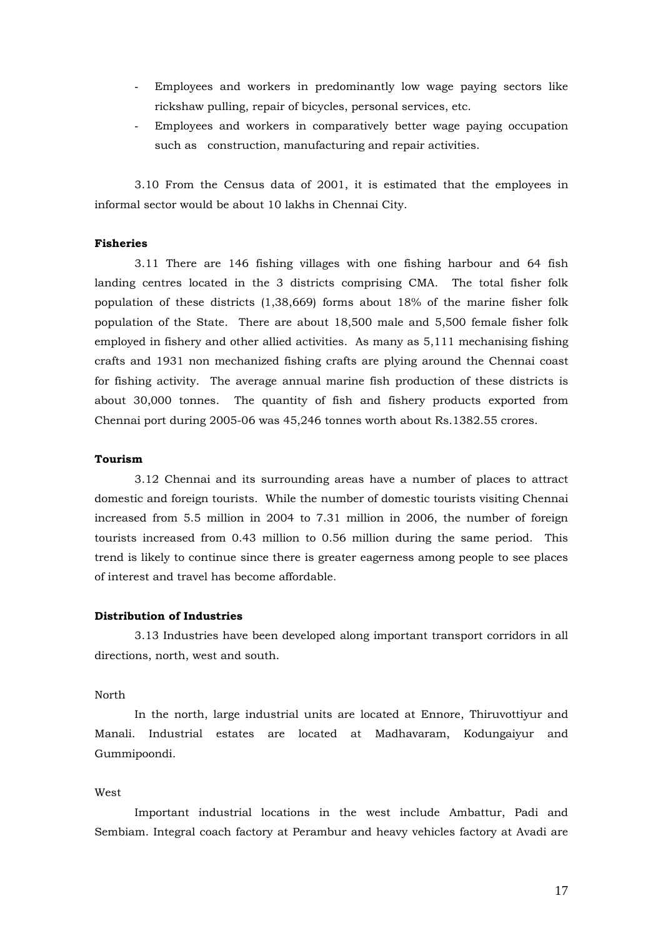- Employees and workers in predominantly low wage paying sectors like rickshaw pulling, repair of bicycles, personal services, etc.
- Employees and workers in comparatively better wage paying occupation such as construction, manufacturing and repair activities.

3.10 From the Census data of 2001, it is estimated that the employees in informal sector would be about 10 lakhs in Chennai City.

## **Fisheries**

3.11 There are 146 fishing villages with one fishing harbour and 64 fish landing centres located in the 3 districts comprising CMA. The total fisher folk population of these districts (1,38,669) forms about 18% of the marine fisher folk population of the State. There are about 18,500 male and 5,500 female fisher folk employed in fishery and other allied activities. As many as 5,111 mechanising fishing crafts and 1931 non mechanized fishing crafts are plying around the Chennai coast for fishing activity. The average annual marine fish production of these districts is about 30,000 tonnes. The quantity of fish and fishery products exported from Chennai port during 2005-06 was 45,246 tonnes worth about Rs.1382.55 crores.

#### **Tourism**

3.12 Chennai and its surrounding areas have a number of places to attract domestic and foreign tourists. While the number of domestic tourists visiting Chennai increased from 5.5 million in 2004 to 7.31 million in 2006, the number of foreign tourists increased from 0.43 million to 0.56 million during the same period. This trend is likely to continue since there is greater eagerness among people to see places of interest and travel has become affordable.

#### **Distribution of Industries**

3.13 Industries have been developed along important transport corridors in all directions, north, west and south.

#### North

 In the north, large industrial units are located at Ennore, Thiruvottiyur and Manali. Industrial estates are located at Madhavaram, Kodungaiyur and Gummipoondi.

#### West

 Important industrial locations in the west include Ambattur, Padi and Sembiam. Integral coach factory at Perambur and heavy vehicles factory at Avadi are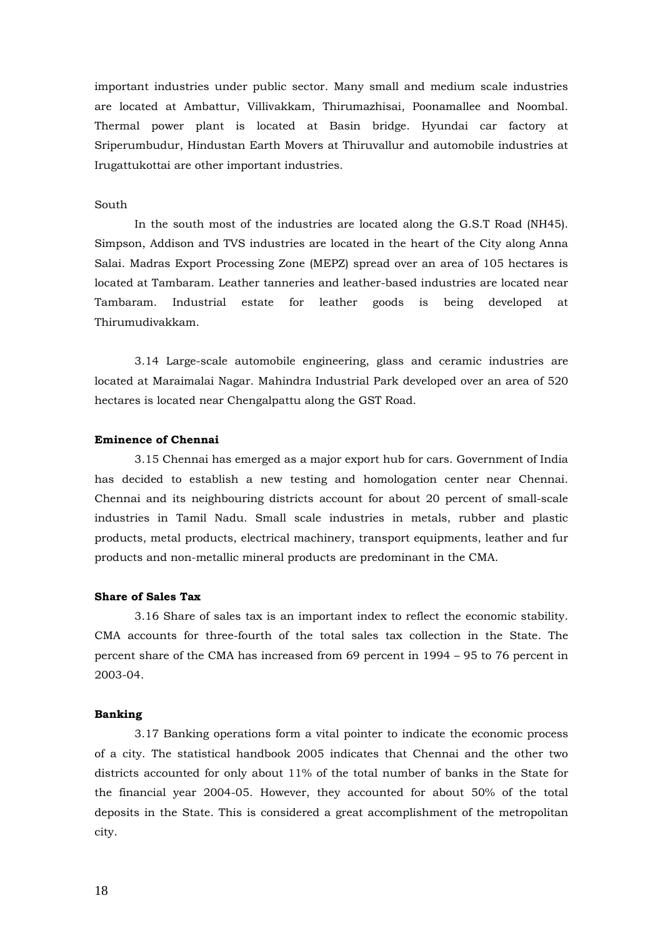important industries under public sector. Many small and medium scale industries are located at Ambattur, Villivakkam, Thirumazhisai, Poonamallee and Noombal. Thermal power plant is located at Basin bridge. Hyundai car factory at Sriperumbudur, Hindustan Earth Movers at Thiruvallur and automobile industries at Irugattukottai are other important industries.

## South

 In the south most of the industries are located along the G.S.T Road (NH45). Simpson, Addison and TVS industries are located in the heart of the City along Anna Salai. Madras Export Processing Zone (MEPZ) spread over an area of 105 hectares is located at Tambaram. Leather tanneries and leather-based industries are located near Tambaram. Industrial estate for leather goods is being developed at Thirumudivakkam.

 3.14 Large-scale automobile engineering, glass and ceramic industries are located at Maraimalai Nagar. Mahindra Industrial Park developed over an area of 520 hectares is located near Chengalpattu along the GST Road.

# **Eminence of Chennai**

3.15 Chennai has emerged as a major export hub for cars. Government of India has decided to establish a new testing and homologation center near Chennai. Chennai and its neighbouring districts account for about 20 percent of small-scale industries in Tamil Nadu. Small scale industries in metals, rubber and plastic products, metal products, electrical machinery, transport equipments, leather and fur products and non-metallic mineral products are predominant in the CMA.

#### **Share of Sales Tax**

3.16 Share of sales tax is an important index to reflect the economic stability. CMA accounts for three-fourth of the total sales tax collection in the State. The percent share of the CMA has increased from 69 percent in 1994 – 95 to 76 percent in 2003-04.

#### **Banking**

3.17 Banking operations form a vital pointer to indicate the economic process of a city. The statistical handbook 2005 indicates that Chennai and the other two districts accounted for only about 11% of the total number of banks in the State for the financial year 2004-05. However, they accounted for about 50% of the total deposits in the State. This is considered a great accomplishment of the metropolitan city.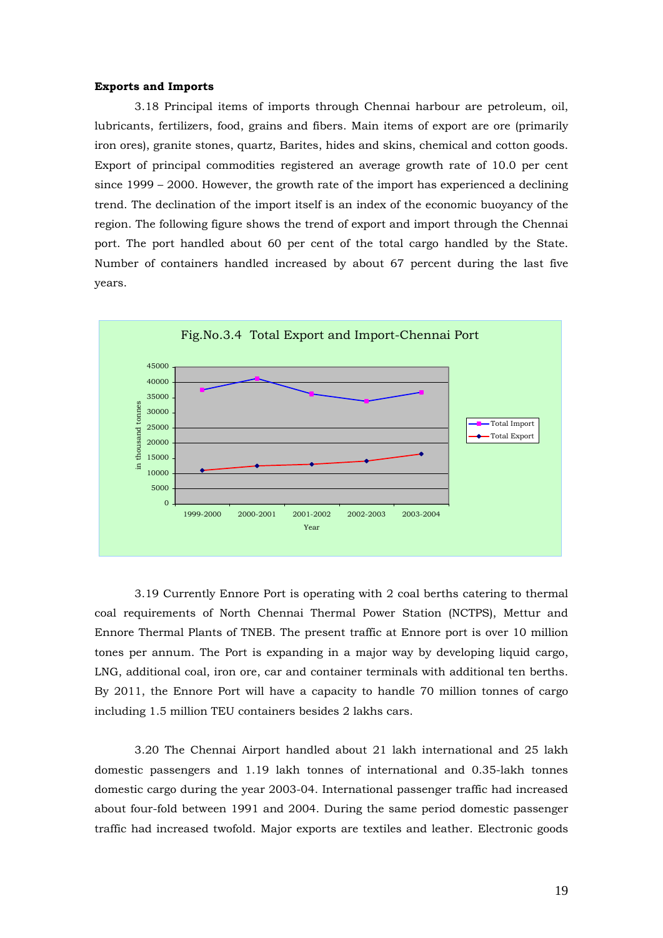#### **Exports and Imports**

3.18 Principal items of imports through Chennai harbour are petroleum, oil, lubricants, fertilizers, food, grains and fibers. Main items of export are ore (primarily iron ores), granite stones, quartz, Barites, hides and skins, chemical and cotton goods. Export of principal commodities registered an average growth rate of 10.0 per cent since 1999 – 2000. However, the growth rate of the import has experienced a declining trend. The declination of the import itself is an index of the economic buoyancy of the region. The following figure shows the trend of export and import through the Chennai port. The port handled about 60 per cent of the total cargo handled by the State. Number of containers handled increased by about 67 percent during the last five years.



3.19 Currently Ennore Port is operating with 2 coal berths catering to thermal coal requirements of North Chennai Thermal Power Station (NCTPS), Mettur and Ennore Thermal Plants of TNEB. The present traffic at Ennore port is over 10 million tones per annum. The Port is expanding in a major way by developing liquid cargo, LNG, additional coal, iron ore, car and container terminals with additional ten berths. By 2011, the Ennore Port will have a capacity to handle 70 million tonnes of cargo including 1.5 million TEU containers besides 2 lakhs cars.

3.20 The Chennai Airport handled about 21 lakh international and 25 lakh domestic passengers and 1.19 lakh tonnes of international and 0.35-lakh tonnes domestic cargo during the year 2003-04. International passenger traffic had increased about four-fold between 1991 and 2004. During the same period domestic passenger traffic had increased twofold. Major exports are textiles and leather. Electronic goods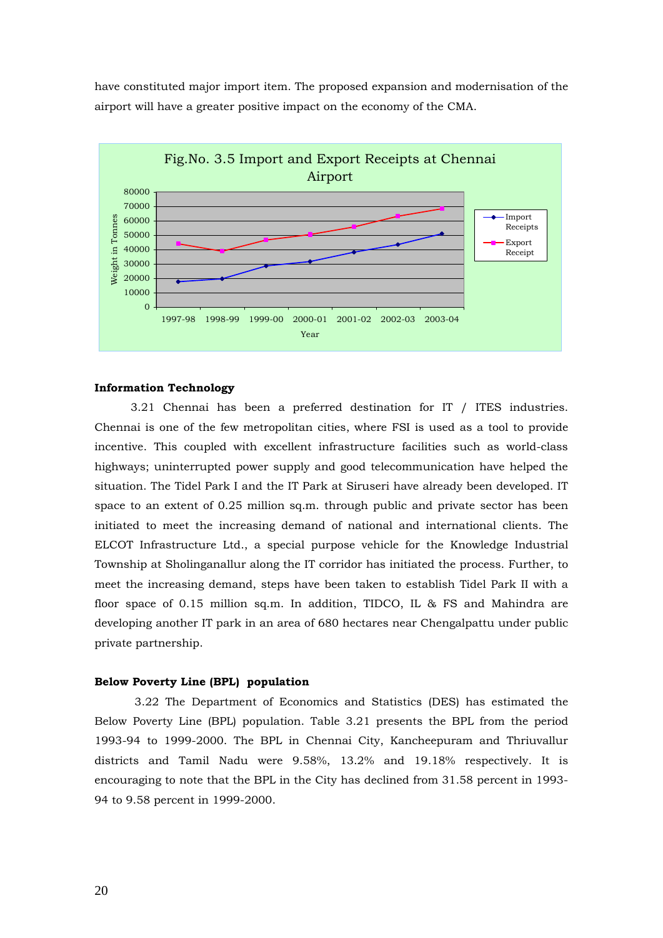have constituted major import item. The proposed expansion and modernisation of the airport will have a greater positive impact on the economy of the CMA.



# **Information Technology**

3.21 Chennai has been a preferred destination for IT / ITES industries. Chennai is one of the few metropolitan cities, where FSI is used as a tool to provide incentive. This coupled with excellent infrastructure facilities such as world-class highways; uninterrupted power supply and good telecommunication have helped the situation. The Tidel Park I and the IT Park at Siruseri have already been developed. IT space to an extent of 0.25 million sq.m. through public and private sector has been initiated to meet the increasing demand of national and international clients. The ELCOT Infrastructure Ltd., a special purpose vehicle for the Knowledge Industrial Township at Sholinganallur along the IT corridor has initiated the process. Further, to meet the increasing demand, steps have been taken to establish Tidel Park II with a floor space of 0.15 million sq.m. In addition, TIDCO, IL & FS and Mahindra are developing another IT park in an area of 680 hectares near Chengalpattu under public private partnership.

#### **Below Poverty Line (BPL) population**

3.22 The Department of Economics and Statistics (DES) has estimated the Below Poverty Line (BPL) population. Table 3.21 presents the BPL from the period 1993-94 to 1999-2000. The BPL in Chennai City, Kancheepuram and Thriuvallur districts and Tamil Nadu were 9.58%, 13.2% and 19.18% respectively. It is encouraging to note that the BPL in the City has declined from 31.58 percent in 1993- 94 to 9.58 percent in 1999-2000.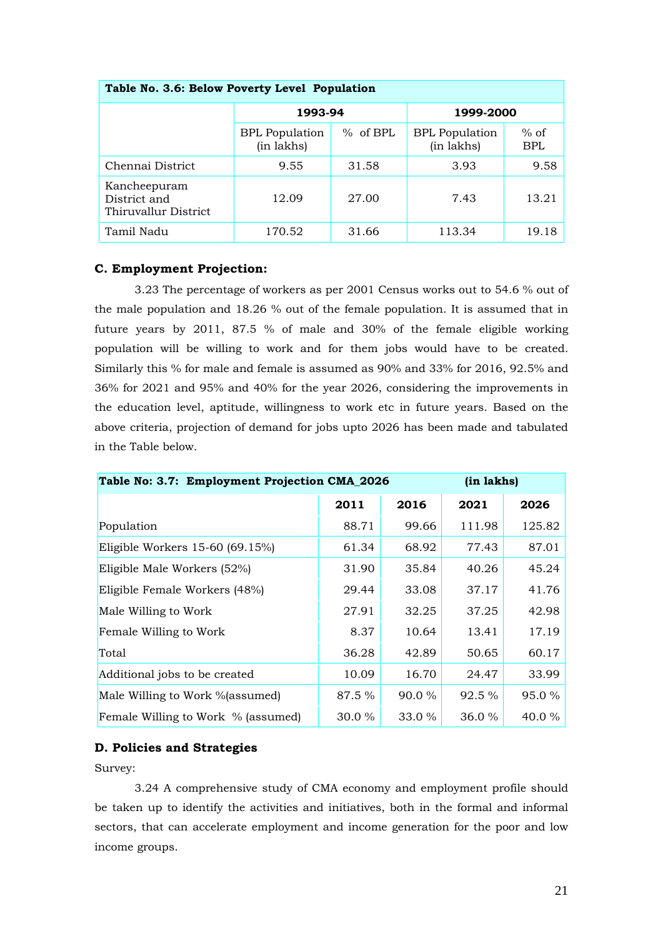| Table No. 3.6: Below Poverty Level Population        |                                     |            |                                     |                      |  |  |  |
|------------------------------------------------------|-------------------------------------|------------|-------------------------------------|----------------------|--|--|--|
|                                                      | 1993-94                             |            | 1999-2000                           |                      |  |  |  |
|                                                      | <b>BPL</b> Population<br>(in lakhs) | $%$ of BPL | <b>BPL</b> Population<br>(in lakhs) | $%$ of<br><b>BPL</b> |  |  |  |
| Chennai District                                     | 9.55                                | 31.58      | 3.93                                | 9.58                 |  |  |  |
| Kancheepuram<br>District and<br>Thiruvallur District | 12.09                               | 27.00      | 7.43                                | 13.21                |  |  |  |
| Tamil Nadu                                           | 170.52                              | 31.66      | 113.34                              | 19.18                |  |  |  |

# **C. Employment Projection:**

3.23 The percentage of workers as per 2001 Census works out to 54.6 % out of the male population and 18.26 % out of the female population. It is assumed that in future years by 2011, 87.5 % of male and 30% of the female eligible working population will be willing to work and for them jobs would have to be created. Similarly this % for male and female is assumed as 90% and 33% for 2016, 92.5% and 36% for 2021 and 95% and 40% for the year 2026, considering the improvements in the education level, aptitude, willingness to work etc in future years. Based on the above criteria, projection of demand for jobs upto 2026 has been made and tabulated in the Table below.

| Table No: 3.7: Employment Projection CMA_2026 |           |        | (in lakhs) |        |  |
|-----------------------------------------------|-----------|--------|------------|--------|--|
|                                               | 2011      | 2016   | 2021       | 2026   |  |
| Population                                    | 88.71     | 99.66  | 111.98     | 125.82 |  |
| Eligible Workers 15-60 (69.15%)               | 61.34     | 68.92  | 77.43      | 87.01  |  |
| Eligible Male Workers (52%)                   | 31.90     | 35.84  | 40.26      | 45.24  |  |
| Eligible Female Workers (48%)                 | 29.44     | 33.08  | 37.17      | 41.76  |  |
| Male Willing to Work                          | 27.91     | 32.25  | 37.25      | 42.98  |  |
| Female Willing to Work                        | 8.37      | 10.64  | 13.41      | 17.19  |  |
| Total                                         | 36.28     | 42.89  | 50.65      | 60.17  |  |
| Additional jobs to be created                 | 10.09     | 16.70  | 24.47      | 33.99  |  |
| Male Willing to Work %(assumed)               | 87.5 %    | 90.0 % | 92.5 %     | 95.0 % |  |
| Female Willing to Work % (assumed)            | $30.0 \%$ | 33.0%  | 36.0%      | 40.0 % |  |

# **D. Policies and Strategies**

Survey:

3.24 A comprehensive study of CMA economy and employment profile should be taken up to identify the activities and initiatives, both in the formal and informal sectors, that can accelerate employment and income generation for the poor and low income groups.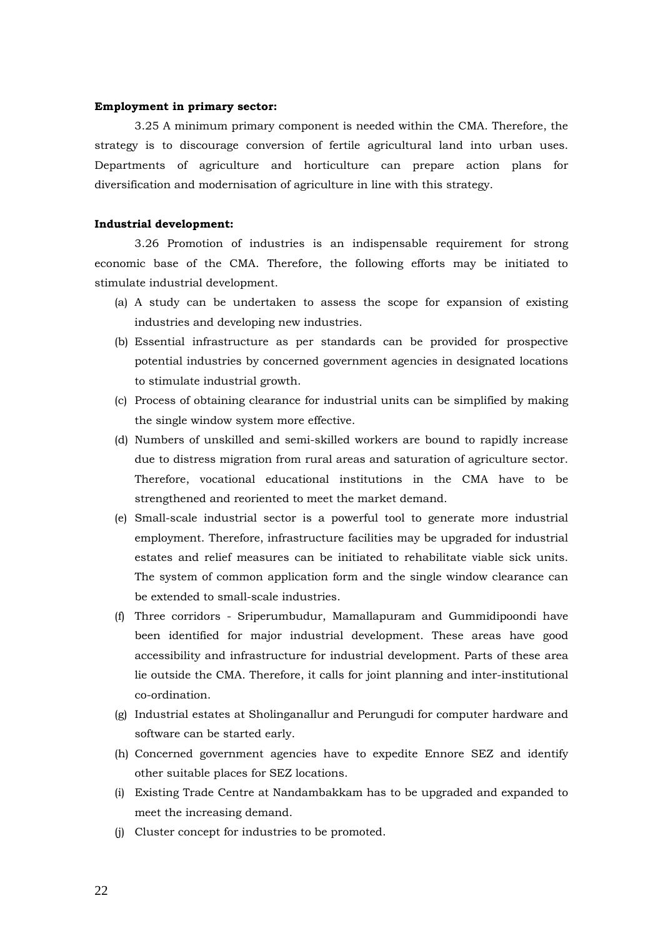#### **Employment in primary sector:**

3.25 A minimum primary component is needed within the CMA. Therefore, the strategy is to discourage conversion of fertile agricultural land into urban uses. Departments of agriculture and horticulture can prepare action plans for diversification and modernisation of agriculture in line with this strategy.

## **Industrial development:**

3.26 Promotion of industries is an indispensable requirement for strong economic base of the CMA. Therefore, the following efforts may be initiated to stimulate industrial development.

- (a) A study can be undertaken to assess the scope for expansion of existing industries and developing new industries.
- (b) Essential infrastructure as per standards can be provided for prospective potential industries by concerned government agencies in designated locations to stimulate industrial growth.
- (c) Process of obtaining clearance for industrial units can be simplified by making the single window system more effective.
- (d) Numbers of unskilled and semi-skilled workers are bound to rapidly increase due to distress migration from rural areas and saturation of agriculture sector. Therefore, vocational educational institutions in the CMA have to be strengthened and reoriented to meet the market demand.
- (e) Small-scale industrial sector is a powerful tool to generate more industrial employment. Therefore, infrastructure facilities may be upgraded for industrial estates and relief measures can be initiated to rehabilitate viable sick units. The system of common application form and the single window clearance can be extended to small-scale industries.
- (f) Three corridors Sriperumbudur, Mamallapuram and Gummidipoondi have been identified for major industrial development. These areas have good accessibility and infrastructure for industrial development. Parts of these area lie outside the CMA. Therefore, it calls for joint planning and inter-institutional co-ordination.
- (g) Industrial estates at Sholinganallur and Perungudi for computer hardware and software can be started early.
- (h) Concerned government agencies have to expedite Ennore SEZ and identify other suitable places for SEZ locations.
- (i) Existing Trade Centre at Nandambakkam has to be upgraded and expanded to meet the increasing demand.
- (j) Cluster concept for industries to be promoted.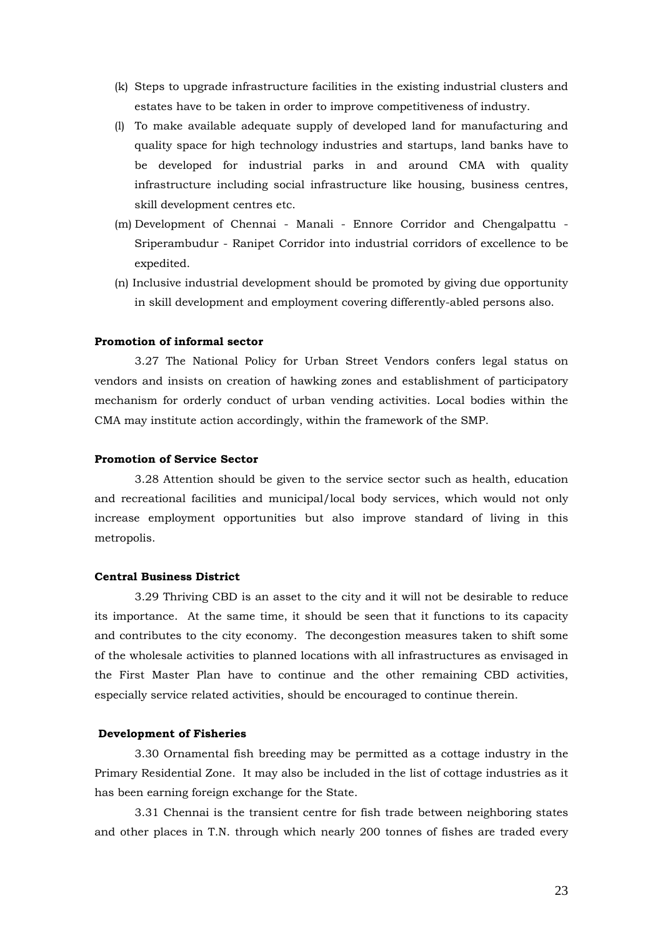- (k) Steps to upgrade infrastructure facilities in the existing industrial clusters and estates have to be taken in order to improve competitiveness of industry.
- (l) To make available adequate supply of developed land for manufacturing and quality space for high technology industries and startups, land banks have to be developed for industrial parks in and around CMA with quality infrastructure including social infrastructure like housing, business centres, skill development centres etc.
- (m) Development of Chennai Manali Ennore Corridor and Chengalpattu Sriperambudur - Ranipet Corridor into industrial corridors of excellence to be expedited.
- (n) Inclusive industrial development should be promoted by giving due opportunity in skill development and employment covering differently-abled persons also.

#### **Promotion of informal sector**

3.27 The National Policy for Urban Street Vendors confers legal status on vendors and insists on creation of hawking zones and establishment of participatory mechanism for orderly conduct of urban vending activities. Local bodies within the CMA may institute action accordingly, within the framework of the SMP.

#### **Promotion of Service Sector**

3.28 Attention should be given to the service sector such as health, education and recreational facilities and municipal/local body services, which would not only increase employment opportunities but also improve standard of living in this metropolis.

#### **Central Business District**

 3.29 Thriving CBD is an asset to the city and it will not be desirable to reduce its importance. At the same time, it should be seen that it functions to its capacity and contributes to the city economy. The decongestion measures taken to shift some of the wholesale activities to planned locations with all infrastructures as envisaged in the First Master Plan have to continue and the other remaining CBD activities, especially service related activities, should be encouraged to continue therein.

#### **Development of Fisheries**

3.30 Ornamental fish breeding may be permitted as a cottage industry in the Primary Residential Zone. It may also be included in the list of cottage industries as it has been earning foreign exchange for the State.

3.31 Chennai is the transient centre for fish trade between neighboring states and other places in T.N. through which nearly 200 tonnes of fishes are traded every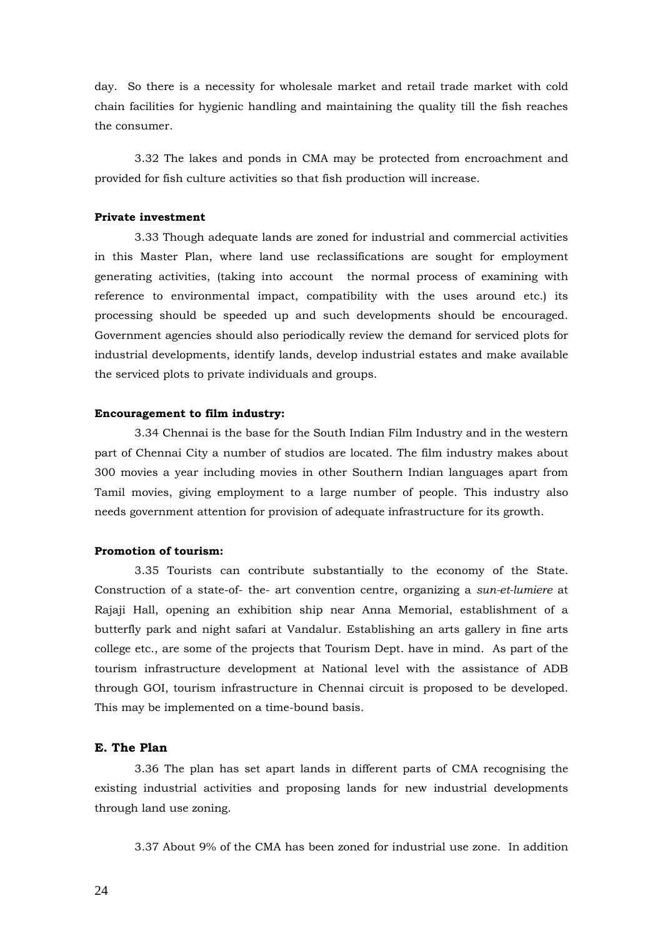day. So there is a necessity for wholesale market and retail trade market with cold chain facilities for hygienic handling and maintaining the quality till the fish reaches the consumer.

3.32 The lakes and ponds in CMA may be protected from encroachment and provided for fish culture activities so that fish production will increase.

# **Private investment**

3.33 Though adequate lands are zoned for industrial and commercial activities in this Master Plan, where land use reclassifications are sought for employment generating activities, (taking into account the normal process of examining with reference to environmental impact, compatibility with the uses around etc.) its processing should be speeded up and such developments should be encouraged. Government agencies should also periodically review the demand for serviced plots for industrial developments, identify lands, develop industrial estates and make available the serviced plots to private individuals and groups.

#### **Encouragement to film industry:**

3.34 Chennai is the base for the South Indian Film Industry and in the western part of Chennai City a number of studios are located. The film industry makes about 300 movies a year including movies in other Southern Indian languages apart from Tamil movies, giving employment to a large number of people. This industry also needs government attention for provision of adequate infrastructure for its growth.

#### **Promotion of tourism:**

3.35 Tourists can contribute substantially to the economy of the State. Construction of a state-of- the- art convention centre, organizing a *sun-et-lumiere* at Rajaji Hall, opening an exhibition ship near Anna Memorial, establishment of a butterfly park and night safari at Vandalur. Establishing an arts gallery in fine arts college etc., are some of the projects that Tourism Dept. have in mind. As part of the tourism infrastructure development at National level with the assistance of ADB through GOI, tourism infrastructure in Chennai circuit is proposed to be developed. This may be implemented on a time-bound basis.

#### **E. The Plan**

 3.36 The plan has set apart lands in different parts of CMA recognising the existing industrial activities and proposing lands for new industrial developments through land use zoning.

3.37 About 9% of the CMA has been zoned for industrial use zone. In addition